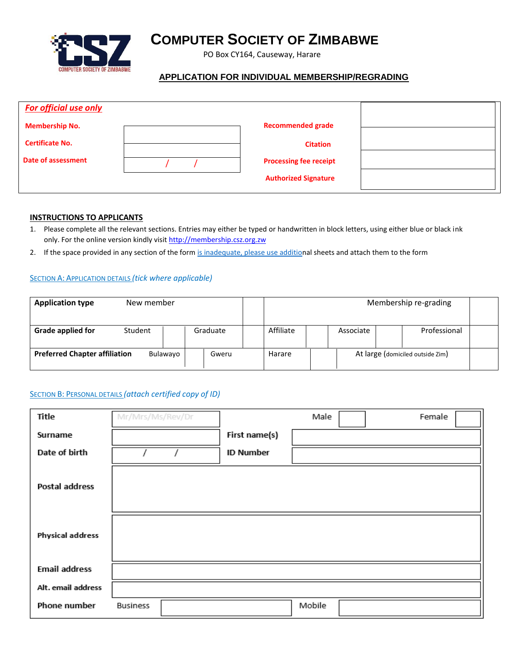

# **COMPUTER SOCIETY OF ZIMBABWE**

PO Box CY164, Causeway, Harare

## **APPLICATION FOR INDIVIDUAL MEMBERSHIP/REGRADING**

| <b>For official use only</b> |                               |  |
|------------------------------|-------------------------------|--|
| <b>Membership No.</b>        | <b>Recommended grade</b>      |  |
| <b>Certificate No.</b>       | <b>Citation</b>               |  |
| Date of assessment           | <b>Processing fee receipt</b> |  |
|                              | <b>Authorized Signature</b>   |  |

#### **INSTRUCTIONS TO APPLICANTS**

- 1. Please complete all the relevant sections. Entries may either be typed or handwritten in block letters, using either blue or black ink only. For the online version kindly visit http://membership.csz.org.zw
- 2. If the space provided in any section of the for[m is inadequate, please use addition](http://membership.csz.org.zw/)al sheets and attach them to the form

#### SECTION A: APPLICATION DETAILS *(tick where applicable)*

| <b>Application type</b>              | New member |          |           |           | Membership re-grading            |  |
|--------------------------------------|------------|----------|-----------|-----------|----------------------------------|--|
| <b>Grade applied for</b>             | Student    | Graduate | Affiliate | Associate | Professional                     |  |
| <b>Preferred Chapter affiliation</b> | Bulawayo   | Gweru    | Harare    |           | At large (domiciled outside Zim) |  |

### SECTION B: PERSONAL DETAILS *(attach certified copy of ID)*

| Title                   | Mr/Mrs/Ms/Rev/Dr |                  | Male   | Female |
|-------------------------|------------------|------------------|--------|--------|
| Surname                 |                  | First name(s)    |        |        |
| Date of birth           |                  | <b>ID Number</b> |        |        |
| Postal address          |                  |                  |        |        |
| <b>Physical address</b> |                  |                  |        |        |
| <b>Email address</b>    |                  |                  |        |        |
| Alt. email address      |                  |                  |        |        |
| Phone number            | <b>Business</b>  |                  | Mobile |        |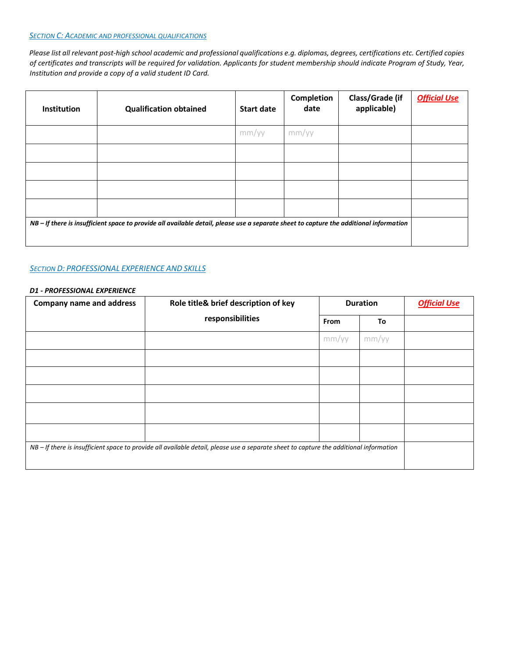#### *SECTION C: ACADEMIC AND PROFESSIONAL QUALIFICATIONS*

*Please list all relevant post-high school academic and professional qualifications e.g. diplomas, degrees, certifications etc. Certified copies of certificates and transcripts will be required for validation. Applicants for student membership should indicate Program of Study, Year, Institution and provide a copy of a valid student ID Card.* 

| <b>Institution</b> | <b>Qualification obtained</b>                                                                                                            | <b>Start date</b> | Completion<br>date | Class/Grade (if<br>applicable) | <b>Official Use</b> |
|--------------------|------------------------------------------------------------------------------------------------------------------------------------------|-------------------|--------------------|--------------------------------|---------------------|
|                    |                                                                                                                                          | mm/yy             | mm/yy              |                                |                     |
|                    |                                                                                                                                          |                   |                    |                                |                     |
|                    |                                                                                                                                          |                   |                    |                                |                     |
|                    |                                                                                                                                          |                   |                    |                                |                     |
|                    |                                                                                                                                          |                   |                    |                                |                     |
|                    | $NB$ – If there is insufficient space to provide all available detail, please use a separate sheet to capture the additional information |                   |                    |                                |                     |

#### *SECTION D: PROFESSIONAL EXPERIENCE AND SKILLS*

#### *D1 - PROFESSIONAL EXPERIENCE*

| <b>Company name and address</b> | Role title& brief description of key                                                                                                   |       | <b>Duration</b> | <b>Official Use</b> |
|---------------------------------|----------------------------------------------------------------------------------------------------------------------------------------|-------|-----------------|---------------------|
|                                 | responsibilities                                                                                                                       | From  | To              |                     |
|                                 |                                                                                                                                        | mm/yy | mm/yy           |                     |
|                                 |                                                                                                                                        |       |                 |                     |
|                                 |                                                                                                                                        |       |                 |                     |
|                                 |                                                                                                                                        |       |                 |                     |
|                                 |                                                                                                                                        |       |                 |                     |
|                                 |                                                                                                                                        |       |                 |                     |
|                                 | NB - If there is insufficient space to provide all available detail, please use a separate sheet to capture the additional information |       |                 |                     |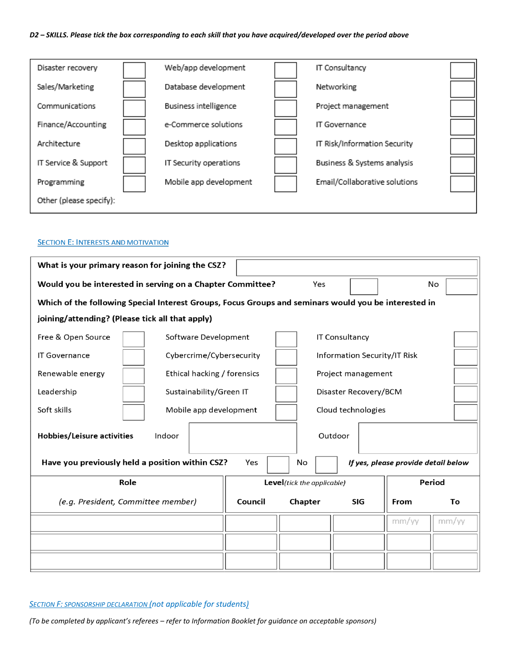#### *D2 – SKILLS. Please tick the box corresponding to each skill that you have acquired/developed over the period above*

| Disaster recovery       | Web/app development          | IT Consultancy                |  |
|-------------------------|------------------------------|-------------------------------|--|
| Sales/Marketing         | Database development         | Networking                    |  |
| Communications          | <b>Business intelligence</b> | Project management            |  |
| Finance/Accounting      | e-Commerce solutions         | IT Governance                 |  |
| Architecture            | Desktop applications         | IT Risk/Information Security  |  |
| IT Service & Support    | IT Security operations       | Business & Systems analysis   |  |
| Programming             | Mobile app development       | Email/Collaborative solutions |  |
| Other (please specify): |                              |                               |  |

#### **SECTION E: INTERESTS AND MOTIVATION**

| What is your primary reason for joining the CSZ?                                                     |                             |         |                            |                              |                                     |               |
|------------------------------------------------------------------------------------------------------|-----------------------------|---------|----------------------------|------------------------------|-------------------------------------|---------------|
| Would you be interested in serving on a Chapter Committee?                                           |                             |         | Yes                        |                              |                                     | No            |
| Which of the following Special Interest Groups, Focus Groups and seminars would you be interested in |                             |         |                            |                              |                                     |               |
| joining/attending? (Please tick all that apply)                                                      |                             |         |                            |                              |                                     |               |
| Free & Open Source                                                                                   | Software Development        |         |                            | IT Consultancy               |                                     |               |
| <b>IT Governance</b>                                                                                 | Cybercrime/Cybersecurity    |         |                            | Information Security/IT Risk |                                     |               |
| Renewable energy                                                                                     | Ethical hacking / forensics |         |                            | Project management           |                                     |               |
| Leadership                                                                                           | Sustainability/Green IT     |         |                            | Disaster Recovery/BCM        |                                     |               |
| Soft skills                                                                                          | Mobile app development      |         |                            | Cloud technologies           |                                     |               |
| Hobbies/Leisure activities<br>Indoor                                                                 |                             |         |                            | Outdoor                      |                                     |               |
| Have you previously held a position within CSZ?                                                      |                             |         | No                         |                              | If yes, please provide detail below |               |
| Role                                                                                                 |                             |         | Level(tick the applicable) |                              |                                     | <b>Period</b> |
| (e.g. President, Committee member)                                                                   |                             | Council | Chapter                    | <b>SIG</b>                   | From                                | To            |
|                                                                                                      |                             |         |                            |                              | mm/yy                               | mm/yy         |
|                                                                                                      |                             |         |                            |                              |                                     |               |
|                                                                                                      |                             |         |                            |                              |                                     |               |

*SECTION F: SPONSORSHIP DECLARATION (not applicable for students)*

*(To be completed by applicant's referees – refer to Information Booklet for guidance on acceptable sponsors)*